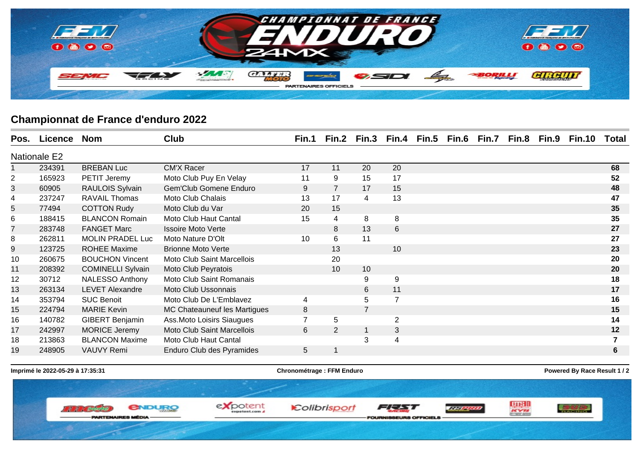

## **Championnat de France d'enduro 2022**

| Pos.           | Licence | <b>Nom</b>               | <b>Club</b>                         | Fin.1          | Fin.2          | Fin.3          | Fin.4          | Fin.5 | Fin.6 Fin.7 | Fin.8 | Fin.9 | <b>Fin.10</b> | Total |
|----------------|---------|--------------------------|-------------------------------------|----------------|----------------|----------------|----------------|-------|-------------|-------|-------|---------------|-------|
| Nationale E2   |         |                          |                                     |                |                |                |                |       |             |       |       |               |       |
|                | 234391  | <b>BREBAN Luc</b>        | <b>CM'X Racer</b>                   | 17             | 11             | 20             | 20             |       |             |       |       |               | 68    |
| 2              | 165923  | PETIT Jeremy             | Moto Club Puy En Velay              | 11             | 9              | 15             | 17             |       |             |       |       |               | 52    |
| 3              | 60905   | RAULOIS Sylvain          | <b>Gem'Club Gomene Enduro</b>       | 9              | $\overline{7}$ | 17             | 15             |       |             |       |       |               | 48    |
| 4              | 237247  | <b>RAVAIL Thomas</b>     | Moto Club Chalais                   | 13             | 17             | 4              | 13             |       |             |       |       |               | 47    |
| 5              | 77494   | <b>COTTON Rudy</b>       | Moto Club du Var                    | 20             | 15             |                |                |       |             |       |       |               | 35    |
| 6              | 188415  | <b>BLANCON Romain</b>    | Moto Club Haut Cantal               | 15             | 4              | 8              | 8              |       |             |       |       |               | 35    |
| $\overline{7}$ | 283748  | <b>FANGET Marc</b>       | <b>Issoire Moto Verte</b>           |                | 8              | 13             | 6              |       |             |       |       |               | 27    |
| 8              | 262811  | <b>MOLIN PRADEL Luc</b>  | Moto Nature D'Olt                   | 10             | 6              | 11             |                |       |             |       |       |               | 27    |
| 9              | 123725  | <b>ROHEE Maxime</b>      | <b>Brionne Moto Verte</b>           |                | 13             |                | 10             |       |             |       |       |               | 23    |
| 10             | 260675  | <b>BOUCHON Vincent</b>   | Moto Club Saint Marcellois          |                | 20             |                |                |       |             |       |       |               | 20    |
| 11             | 208392  | <b>COMINELLI Sylvain</b> | Moto Club Peyratois                 |                | 10             | 10             |                |       |             |       |       |               | 20    |
| 12             | 30712   | <b>NALESSO Anthony</b>   | Moto Club Saint Romanais            |                |                | 9              | 9              |       |             |       |       |               | 18    |
| 13             | 263134  | <b>LEVET Alexandre</b>   | Moto Club Ussonnais                 |                |                | 6              | 11             |       |             |       |       |               | 17    |
| 14             | 353794  | <b>SUC Benoit</b>        | Moto Club De L'Emblavez             | 4              |                | 5              | $\overline{7}$ |       |             |       |       |               | 16    |
| 15             | 224794  | <b>MARIE Kevin</b>       | <b>MC Chateauneuf les Martigues</b> | 8              |                | $\overline{7}$ |                |       |             |       |       |               | 15    |
| 16             | 140782  | <b>GIBERT Benjamin</b>   | Ass.Moto Loisirs Siaugues           | $\overline{7}$ | $\overline{5}$ |                | $\overline{2}$ |       |             |       |       |               | 14    |
| 17             | 242997  | <b>MORICE Jeremy</b>     | <b>Moto Club Saint Marcellois</b>   | 6              | 2              |                | 3              |       |             |       |       |               | 12    |
| 18             | 213863  | <b>BLANCON Maxime</b>    | Moto Club Haut Cantal               |                |                | 3              | 4              |       |             |       |       |               |       |
| 19             | 248905  | <b>VAUVY Remi</b>        | Enduro Club des Pyramides           | 5              |                |                |                |       |             |       |       |               | 6     |
|                |         |                          |                                     |                |                |                |                |       |             |       |       |               |       |

**Imprimé le 2022-05-29 à 17:35:31 Chronométrage : FFM Enduro Powered By Race Result 1 / 2**